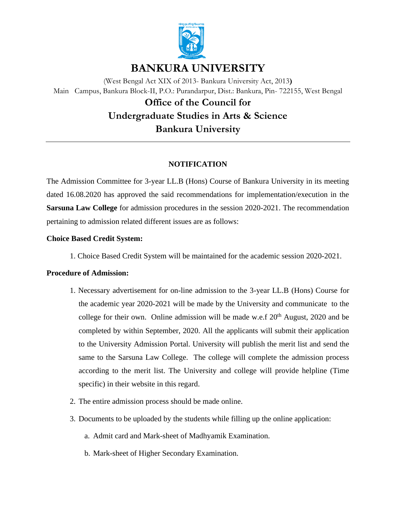

# **BANKURA UNIVERSITY**

(West Bengal Act XIX of 2013- Bankura University Act, 2013**)** Main Campus, Bankura Block-II, P.O.: Purandarpur, Dist.: Bankura, Pin- 722155, West Bengal

# **Office of the Council for Undergraduate Studies in Arts & Science Bankura University**

## **NOTIFICATION**

The Admission Committee for 3-year LL.B (Hons) Course of Bankura University in its meeting dated 16.08.2020 has approved the said recommendations for implementation/execution in the **Sarsuna Law College** for admission procedures in the session 2020-2021. The recommendation pertaining to admission related different issues are as follows:

## **Choice Based Credit System:**

1. Choice Based Credit System will be maintained for the academic session 2020-2021.

### **Procedure of Admission:**

- 1. Necessary advertisement for on-line admission to the 3-year LL.B (Hons) Course for the academic year 2020-2021 will be made by the University and communicate to the college for their own. Online admission will be made w.e.f  $20<sup>th</sup>$  August, 2020 and be completed by within September, 2020. All the applicants will submit their application to the University Admission Portal. University will publish the merit list and send the same to the Sarsuna Law College. The college will complete the admission process according to the merit list. The University and college will provide helpline (Time specific) in their website in this regard.
- 2. The entire admission process should be made online.
- 3. Documents to be uploaded by the students while filling up the online application:
	- a. Admit card and Mark-sheet of Madhyamik Examination.
	- b. Mark-sheet of Higher Secondary Examination.